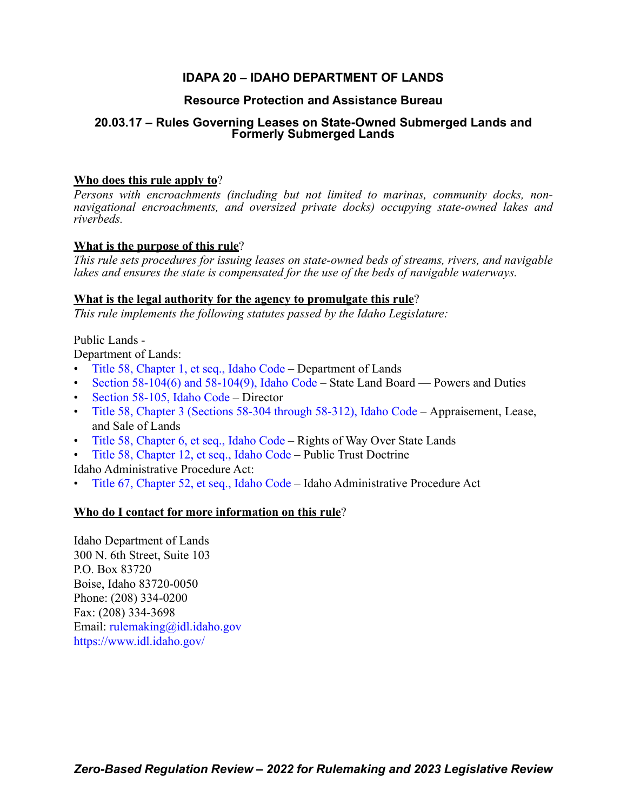# **IDAPA 20 – IDAHO DEPARTMENT OF LANDS**

# **Resource Protection and Assistance Bureau**

# **20.03.17 – Rules Governing Leases on State-Owned Submerged Lands and Formerly Submerged Lands**

# **Who does this rule apply to**?

*Persons with encroachments (including but not limited to marinas, community docks, nonnavigational encroachments, and oversized private docks) occupying state-owned lakes and riverbeds.*

# **What is the purpose of this rule**?

*This rule sets procedures for issuing leases on state-owned beds of streams, rivers, and navigable lakes and ensures the state is compensated for the use of the beds of navigable waterways.*

# **What is the legal authority for the agency to promulgate this rule**?

*This rule implements the following statutes passed by the Idaho Legislature:*

# Public Lands -

Department of Lands:

- [Title 58, Chapter 1, et seq., Idaho Code](https://legislature.idaho.gov/statutesrules/idstat/Title58/T58CH1/) Department of Lands
- [Section 58-104\(6\) and 58-104\(9\), Idaho Code](https://legislature.idaho.gov/statutesrules/idstat/Title58/T58CH1/SECT58-104/)  State Land Board Powers and Duties
- [Section 58-105, Idaho Code](https://legislature.idaho.gov/statutesrules/idstat/Title58/T58CH1/SECT58-105/)  Director
- [Title 58, Chapter 3 \(Sections 58-304 through 58-312\), Idaho Code](https://legislature.idaho.gov/statutesrules/idstat/title58/t58ch3/)  Appraisement, Lease, and Sale of Lands
- [Title 58, Chapter 6, et seq., Idaho Code](https://legislature.idaho.gov/statutesrules/idstat/Title58/T58CH6/) Rights of Way Over State Lands
- [Title 58, Chapter 12, et seq., Idaho Code](https://legislature.idaho.gov/statutesrules/idstat/title58/t58ch12/) Public Trust Doctrine

Idaho Administrative Procedure Act:

• [Title 67, Chapter 52, et seq., Idaho Code](https://legislature.idaho.gov/statutesrules/idstat/Title67/T67CH52/) – Idaho Administrative Procedure Act

# **Who do I contact for more information on this rule**?

Idaho Department of Lands 300 N. 6th Street, Suite 103 P.O. Box 83720 Boise, Idaho 83720-0050 Phone: (208) 334-0200 Fax: (208) 334-3698 Email: [rulemaking@idl.idaho.gov](mailto:rulemaking@idl.idaho.gov) <https://www.idl.idaho.gov/>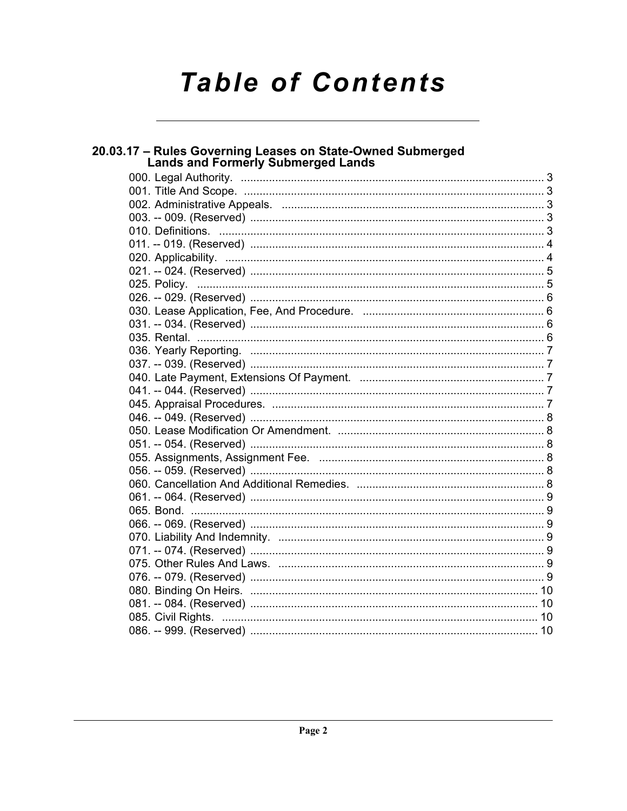# **Table of Contents**

| 20.03.17 - Rules Governing Leases on State-Owned Submerged<br><b>Lands and Formerly Submerged Lands</b> |  |
|---------------------------------------------------------------------------------------------------------|--|
|                                                                                                         |  |
|                                                                                                         |  |
|                                                                                                         |  |
|                                                                                                         |  |
|                                                                                                         |  |
|                                                                                                         |  |
|                                                                                                         |  |
|                                                                                                         |  |
|                                                                                                         |  |
|                                                                                                         |  |
|                                                                                                         |  |
|                                                                                                         |  |
|                                                                                                         |  |
|                                                                                                         |  |
|                                                                                                         |  |
|                                                                                                         |  |
|                                                                                                         |  |
|                                                                                                         |  |
|                                                                                                         |  |
|                                                                                                         |  |
|                                                                                                         |  |
|                                                                                                         |  |
|                                                                                                         |  |
|                                                                                                         |  |
|                                                                                                         |  |
|                                                                                                         |  |
|                                                                                                         |  |
|                                                                                                         |  |
|                                                                                                         |  |
|                                                                                                         |  |
|                                                                                                         |  |
|                                                                                                         |  |
|                                                                                                         |  |
|                                                                                                         |  |
|                                                                                                         |  |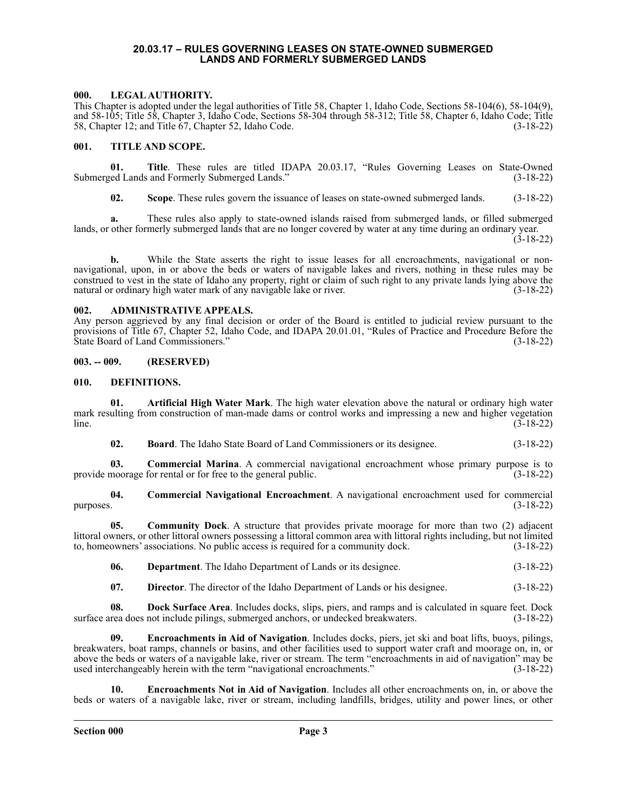## **20.03.17 – RULES GOVERNING LEASES ON STATE-OWNED SUBMERGED LANDS AND FORMERLY SUBMERGED LANDS**

# <span id="page-2-1"></span><span id="page-2-0"></span>**000. LEGAL AUTHORITY.**

This Chapter is adopted under the legal authorities of Title 58, Chapter 1, Idaho Code, Sections 58-104(6), 58-104(9), and 58-105; Title 58, Chapter 3, Idaho Code, Sections 58-304 through 58-312; Title 58, Chapter 6, Idaho Code; Title 58, Chapter 12; and Title 67, Chapter 52, Idaho Code. (3-18-22)

# <span id="page-2-2"></span>**001. TITLE AND SCOPE.**

**01. Title**. These rules are titled IDAPA 20.03.17, "Rules Governing Leases on State-Owned Submerged Lands and Formerly Submerged Lands." (3-18-22)

**02. Scope**. These rules govern the issuance of leases on state-owned submerged lands. (3-18-22)

**a.** These rules also apply to state-owned islands raised from submerged lands, or filled submerged lands, or other formerly submerged lands that are no longer covered by water at any time during an ordinary year.

(3-18-22)

**b.** While the State asserts the right to issue leases for all encroachments, navigational or nonnavigational, upon, in or above the beds or waters of navigable lakes and rivers, nothing in these rules may be construed to vest in the state of Idaho any property, right or claim of such right to any private lands lying above the natural or ordinary high water mark of any navigable lake or river. (3-18-22)

### <span id="page-2-3"></span>**002. ADMINISTRATIVE APPEALS.**

Any person aggrieved by any final decision or order of the Board is entitled to judicial review pursuant to the provisions of Title 67, Chapter 52, Idaho Code, and IDAPA 20.01.01, "Rules of Practice and Procedure Before the State Board of Land Commissioners." (3-18-22)

# <span id="page-2-4"></span>**003. -- 009. (RESERVED)**

# <span id="page-2-5"></span>**010. DEFINITIONS.**

**01. Artificial High Water Mark**. The high water elevation above the natural or ordinary high water mark resulting from construction of man-made dams or control works and impressing a new and higher vegetation  $\lim_{(3-18-22)}$ 

**02. Board**. The Idaho State Board of Land Commissioners or its designee. (3-18-22)

**03. Commercial Marina**. A commercial navigational encroachment whose primary purpose is to provide moorage for rental or for free to the general public. (3-18-22)

**04. Commercial Navigational Encroachment**. A navigational encroachment used for commercial purposes.  $(3-18-22)$ 

**05. Community Dock**. A structure that provides private moorage for more than two (2) adjacent littoral owners, or other littoral owners possessing a littoral common area with littoral rights including, but not limited to, homeowners' associations. No public access is required for a community dock. (3-18-22)

**06. Department**. The Idaho Department of Lands or its designee. (3-18-22)

**07. Director**. The director of the Idaho Department of Lands or his designee. (3-18-22)

**08. Dock Surface Area**. Includes docks, slips, piers, and ramps and is calculated in square feet. Dock surface area does not include pilings, submerged anchors, or undecked breakwaters. (3-18-22)

**09. Encroachments in Aid of Navigation**. Includes docks, piers, jet ski and boat lifts, buoys, pilings, breakwaters, boat ramps, channels or basins, and other facilities used to support water craft and moorage on, in, or above the beds or waters of a navigable lake, river or stream. The term "encroachments in aid of navigation" may be used interchangeably herein with the term "navigational encroachments." (3-18-22)

**10. Encroachments Not in Aid of Navigation**. Includes all other encroachments on, in, or above the beds or waters of a navigable lake, river or stream, including landfills, bridges, utility and power lines, or other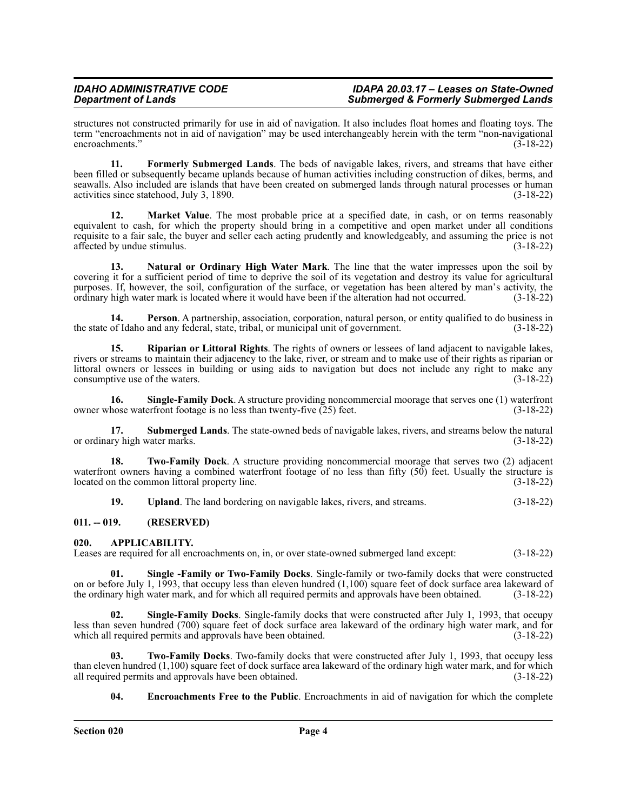structures not constructed primarily for use in aid of navigation. It also includes float homes and floating toys. The term "encroachments not in aid of navigation" may be used interchangeably herein with the term "non-navigational encroachments." (3-18-22)

**11. Formerly Submerged Lands**. The beds of navigable lakes, rivers, and streams that have either been filled or subsequently became uplands because of human activities including construction of dikes, berms, and seawalls. Also included are islands that have been created on submerged lands through natural processes or human activities since statehood, July 3, 1890. (3-18-22)

**Market Value**. The most probable price at a specified date, in cash, or on terms reasonably equivalent to cash, for which the property should bring in a competitive and open market under all conditions requisite to a fair sale, the buyer and seller each acting prudently and knowledgeably, and assuming the price is not affected by undue stimulus.

**13. Natural or Ordinary High Water Mark**. The line that the water impresses upon the soil by covering it for a sufficient period of time to deprive the soil of its vegetation and destroy its value for agricultural purposes. If, however, the soil, configuration of the surface, or vegetation has been altered by man's activity, the ordinary high water mark is located where it would have been if the alteration had not occurred. (3-18-22)

**14. Person**. A partnership, association, corporation, natural person, or entity qualified to do business in the state of Idaho and any federal, state, tribal, or municipal unit of government. (3-18-22)

**15. Riparian or Littoral Rights**. The rights of owners or lessees of land adjacent to navigable lakes, rivers or streams to maintain their adjacency to the lake, river, or stream and to make use of their rights as riparian or littoral owners or lessees in building or using aids to navigation but does not include any right to make any consumptive use of the waters.

**16. Single-Family Dock**. A structure providing noncommercial moorage that serves one (1) waterfront owner whose waterfront footage is no less than twenty-five  $(25)$  feet. (3-18-22)

**17. Submerged Lands**. The state-owned beds of navigable lakes, rivers, and streams below the natural or ordinary high water marks. (3-18-22)

**18. Two-Family Dock**. A structure providing noncommercial moorage that serves two (2) adjacent waterfront owners having a combined waterfront footage of no less than fifty  $(50)$  feet. Usually the structure is located on the common littoral property line. (3-18-22)

**19. Upland**. The land bordering on navigable lakes, rivers, and streams. (3-18-22)

# <span id="page-3-0"></span>**011. -- 019. (RESERVED)**

# <span id="page-3-1"></span>**020. APPLICABILITY.**

Leases are required for all encroachments on, in, or over state-owned submerged land except: (3-18-22)

**01. Single -Family or Two-Family Docks**. Single-family or two-family docks that were constructed on or before July 1, 1993, that occupy less than eleven hundred (1,100) square feet of dock surface area lakeward of the ordinary high water mark, and for which all required permits and approvals have been obtained. (3-18-22)

**02. Single-Family Docks**. Single-family docks that were constructed after July 1, 1993, that occupy less than seven hundred (700) square feet of dock surface area lakeward of the ordinary high water mark, and for which all required permits and approvals have been obtained. (3-18-22)

**03. Two-Family Docks**. Two-family docks that were constructed after July 1, 1993, that occupy less than eleven hundred  $(1,100)$  square feet of dock surface area lakeward of the ordinary high water mark, and for which all required permits and approvals have been obtained.  $(3-18-22)$ all required permits and approvals have been obtained.

**04. Encroachments Free to the Public**. Encroachments in aid of navigation for which the complete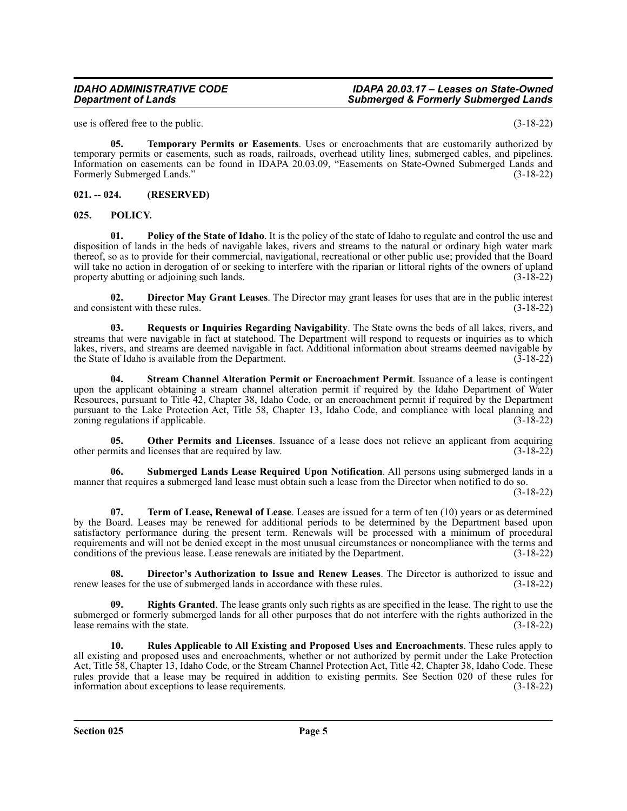use is offered free to the public. (3-18-22)

**05. Temporary Permits or Easements**. Uses or encroachments that are customarily authorized by temporary permits or easements, such as roads, railroads, overhead utility lines, submerged cables, and pipelines. Information on easements can be found in IDAPA 20.03.09, "Easements on State-Owned Submerged Lands and Formerly Submerged Lands." (3-18-22)

# <span id="page-4-0"></span>**021. -- 024. (RESERVED)**

# <span id="page-4-1"></span>**025. POLICY.**

**01. Policy of the State of Idaho**. It is the policy of the state of Idaho to regulate and control the use and disposition of lands in the beds of navigable lakes, rivers and streams to the natural or ordinary high water mark thereof, so as to provide for their commercial, navigational, recreational or other public use; provided that the Board will take no action in derogation of or seeking to interfere with the riparian or littoral rights of the owners of upland property abutting or adjoining such lands. (3-18-22)

**02. Director May Grant Leases**. The Director may grant leases for uses that are in the public interest and consistent with these rules. (3-18-22)

**03. Requests or Inquiries Regarding Navigability**. The State owns the beds of all lakes, rivers, and streams that were navigable in fact at statehood. The Department will respond to requests or inquiries as to which lakes, rivers, and streams are deemed navigable in fact. Additional information about streams deemed navigable by the State of Idaho is available from the Department. (3-18-22)

**04. Stream Channel Alteration Permit or Encroachment Permit**. Issuance of a lease is contingent upon the applicant obtaining a stream channel alteration permit if required by the Idaho Department of Water Resources, pursuant to Title 42, Chapter 38, Idaho Code, or an encroachment permit if required by the Department pursuant to the Lake Protection Act, Title 58, Chapter 13, Idaho Code, and compliance with local planning and zoning regulations if applicable. (3-18-22)

**05. Other Permits and Licenses**. Issuance of a lease does not relieve an applicant from acquiring other permits and licenses that are required by law. (3-18-22)

**Submerged Lands Lease Required Upon Notification**. All persons using submerged lands in a manner that requires a submerged land lease must obtain such a lease from the Director when notified to do so.

(3-18-22)

**07. Term of Lease, Renewal of Lease**. Leases are issued for a term of ten (10) years or as determined by the Board. Leases may be renewed for additional periods to be determined by the Department based upon satisfactory performance during the present term. Renewals will be processed with a minimum of procedural requirements and will not be denied except in the most unusual circumstances or noncompliance with the terms and conditions of the previous lease. Lease renewals are initiated by the Department. (3-18-22)

**08. Director's Authorization to Issue and Renew Leases**. The Director is authorized to issue and ases for the use of submerged lands in accordance with these rules. (3-18-22) renew leases for the use of submerged lands in accordance with these rules.

**Rights Granted**. The lease grants only such rights as are specified in the lease. The right to use the submerged or formerly submerged lands for all other purposes that do not interfere with the rights authorized in the lease remains with the state. (3-18-22) lease remains with the state.

**10. Rules Applicable to All Existing and Proposed Uses and Encroachments**. These rules apply to all existing and proposed uses and encroachments, whether or not authorized by permit under the Lake Protection Act, Title 58, Chapter 13, Idaho Code, or the Stream Channel Protection Act, Title 42, Chapter 38, Idaho Code. These rules provide that a lease may be required in addition to existing permits. See Section 020 of these rules for information about exceptions to lease requirements. (3-18-22) information about exceptions to lease requirements.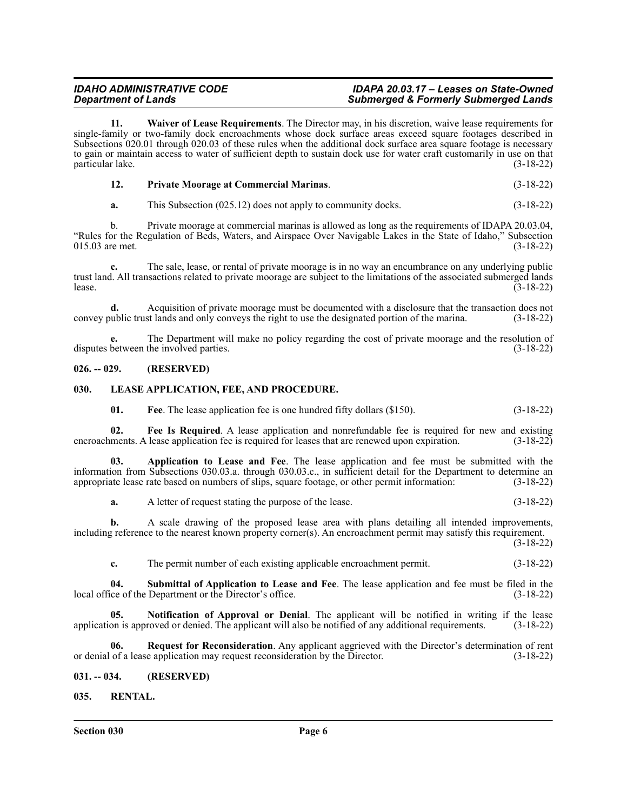**11. Waiver of Lease Requirements**. The Director may, in his discretion, waive lease requirements for single-family or two-family dock encroachments whose dock surface areas exceed square footages described in Subsections 020.01 through 020.03 of these rules when the additional dock surface area square footage is necessary to gain or maintain access to water of sufficient depth to sustain dock use for water craft customarily in use on that particular lake. (3-18-22)

|  | <b>Private Moorage at Commercial Marinas.</b> | $(3-18-22)$ |
|--|-----------------------------------------------|-------------|
|--|-----------------------------------------------|-------------|

**a.** This Subsection (025.12) does not apply to community docks. (3-18-22)

b. Private moorage at commercial marinas is allowed as long as the requirements of IDAPA 20.03.04, "Rules for the Regulation of Beds, Waters, and Airspace Over Navigable Lakes in the State of Idaho," Subsection  $015.03$  are met.

**c.** The sale, lease, or rental of private moorage is in no way an encumbrance on any underlying public trust land. All transactions related to private moorage are subject to the limitations of the associated submerged lands<br>(3-18-22) lease.  $(3-18-22)$ 

**d.** Acquisition of private moorage must be documented with a disclosure that the transaction does not ublic trust lands and only conveys the right to use the designated portion of the marina. (3-18-22) convey public trust lands and only conveys the right to use the designated portion of the marina.

**e.** The Department will make no policy regarding the cost of private moorage and the resolution of between the involved parties. (3-18-22) disputes between the involved parties.

# <span id="page-5-0"></span>**026. -- 029. (RESERVED)**

# <span id="page-5-1"></span>**030. LEASE APPLICATION, FEE, AND PROCEDURE.**

**01. Fee**. The lease application fee is one hundred fifty dollars (\$150). (3-18-22)

**02. Fee Is Required**. A lease application and nonrefundable fee is required for new and existing encroachments. A lease application fee is required for leases that are renewed upon expiration. (3-18-22)

**03. Application to Lease and Fee**. The lease application and fee must be submitted with the information from Subsections 030.03.a. through 030.03.c., in sufficient detail for the Department to determine an appropriate lease rate based on numbers of slips, square footage, or other permit information: (3-18-22)

**a.** A letter of request stating the purpose of the lease. (3-18-22)

**b.** A scale drawing of the proposed lease area with plans detailing all intended improvements, including reference to the nearest known property corner(s). An encroachment permit may satisfy this requirement.

(3-18-22)

**c.** The permit number of each existing applicable encroachment permit. (3-18-22)

**04. Submittal of Application to Lease and Fee**. The lease application and fee must be filed in the local office of the Department or the Director's office. (3-18-22)

**05.** Notification of Approval or Denial. The applicant will be notified in writing if the lease on is approved or denied. The applicant will also be notified of any additional requirements. (3-18-22) application is approved or denied. The applicant will also be notified of any additional requirements.

**06. Request for Reconsideration**. Any applicant aggrieved with the Director's determination of rent or denial of a lease application may request reconsideration by the Director. (3-18-22)

# <span id="page-5-2"></span>**031. -- 034. (RESERVED)**

# <span id="page-5-3"></span>**035. RENTAL.**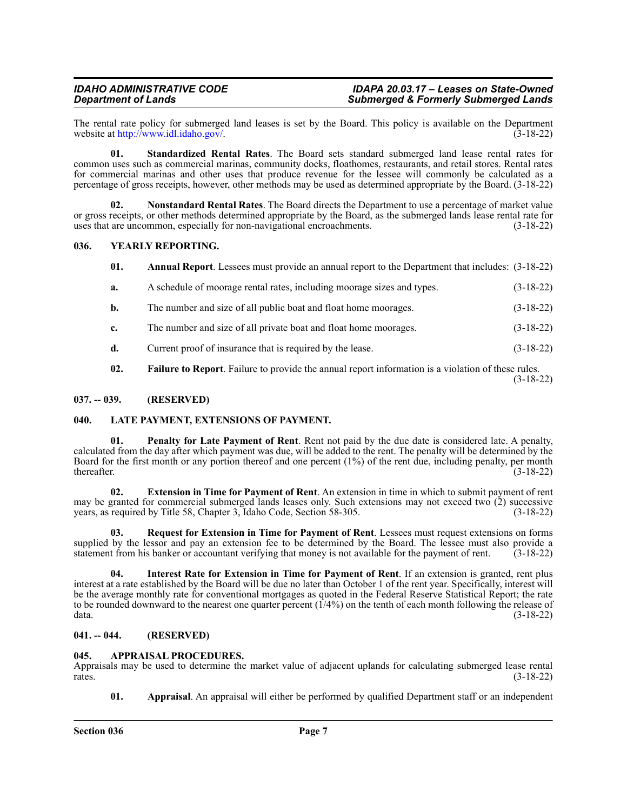The rental rate policy for submerged land leases is set by the Board. This policy is available on the Department website at http://www.idl.idaho.gov/.  $(3-18-22)$ website at [http://www.idl.idaho.gov/.](http://www.idl.idaho.gov/)

**01. Standardized Rental Rates**. The Board sets standard submerged land lease rental rates for common uses such as commercial marinas, community docks, floathomes, restaurants, and retail stores. Rental rates for commercial marinas and other uses that produce revenue for the lessee will commonly be calculated as a percentage of gross receipts, however, other methods may be used as determined appropriate by the Board. (3-18-22)

**02. Nonstandard Rental Rates**. The Board directs the Department to use a percentage of market value or gross receipts, or other methods determined appropriate by the Board, as the submerged lands lease rental rate for uses that are uncommon, especially for non-navigational encroachments. (3-18-22)

# <span id="page-6-0"></span>**036. YEARLY REPORTING.**

- **01. Annual Report**. Lessees must provide an annual report to the Department that includes: (3-18-22)
- **a.** A schedule of moorage rental rates, including moorage sizes and types. (3-18-22)
- **b.** The number and size of all public boat and float home moorages. (3-18-22)
- **c.** The number and size of all private boat and float home moorages. (3-18-22)
- **d.** Current proof of insurance that is required by the lease.  $(3-18-22)$
- **02. Failure to Report**. Failure to provide the annual report information is a violation of these rules. (3-18-22)

# <span id="page-6-1"></span>**037. -- 039. (RESERVED)**

# <span id="page-6-2"></span>**040. LATE PAYMENT, EXTENSIONS OF PAYMENT.**

**01. Penalty for Late Payment of Rent**. Rent not paid by the due date is considered late. A penalty, calculated from the day after which payment was due, will be added to the rent. The penalty will be determined by the Board for the first month or any portion thereof and one percent (1%) of the rent due, including penalty, per month thereafter. (3-18-22) thereafter.  $(3-18-22)$ 

**02. Extension in Time for Payment of Rent**. An extension in time in which to submit payment of rent may be granted for commercial submerged lands leases only. Such extensions may not exceed two (2) successive years, as required by Title 58, Chapter 3, Idaho Code, Section 58-305. (3-18-22)

**03. Request for Extension in Time for Payment of Rent**. Lessees must request extensions on forms supplied by the lessor and pay an extension fee to be determined by the Board. The lessee must also provide a statement from his banker or accountant verifying that money is not available for the payment of rent. (3-18-22)

**04. Interest Rate for Extension in Time for Payment of Rent**. If an extension is granted, rent plus interest at a rate established by the Board will be due no later than October 1 of the rent year. Specifically, interest will be the average monthly rate for conventional mortgages as quoted in the Federal Reserve Statistical Report; the rate to be rounded downward to the nearest one quarter percent (1/4%) on the tenth of each month following the release of data. (3-18-22)

# <span id="page-6-3"></span>**041. -- 044. (RESERVED)**

# <span id="page-6-4"></span>**045. APPRAISAL PROCEDURES.**

Appraisals may be used to determine the market value of adjacent uplands for calculating submerged lease rental  $r = (3-18-22)$ 

**01. Appraisal**. An appraisal will either be performed by qualified Department staff or an independent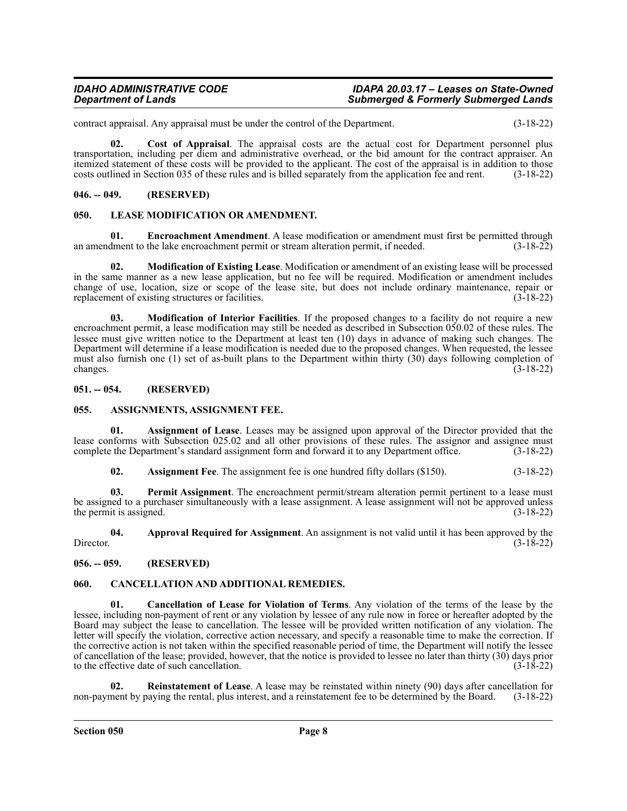contract appraisal. Any appraisal must be under the control of the Department. (3-18-22)

**02. Cost of Appraisal**. The appraisal costs are the actual cost for Department personnel plus transportation, including per diem and administrative overhead, or the bid amount for the contract appraiser. An itemized statement of these costs will be provided to the applicant. The cost of the appraisal is in addition to those costs outlined in Section 035 of these rules and is billed separately from the application fee and rent. (3-18-22)

# <span id="page-7-0"></span>**046. -- 049. (RESERVED)**

# <span id="page-7-1"></span>**050. LEASE MODIFICATION OR AMENDMENT.**

**01. Encroachment Amendment**. A lease modification or amendment must first be permitted through dment to the lake encroachment permit or stream alteration permit, if needed. (3-18-22) an amendment to the lake encroachment permit or stream alteration permit, if needed.

**02. Modification of Existing Lease**. Modification or amendment of an existing lease will be processed in the same manner as a new lease application, but no fee will be required. Modification or amendment includes change of use, location, size or scope of the lease site, but does not include ordinary maintenance, repair or replacement of existing structures or facilities. (3-18-22)

**03. Modification of Interior Facilities**. If the proposed changes to a facility do not require a new encroachment permit, a lease modification may still be needed as described in Subsection 050.02 of these rules. The lessee must give written notice to the Department at least ten (10) days in advance of making such changes. The Department will determine if a lease modification is needed due to the proposed changes. When requested, the lessee must also furnish one (1) set of as-built plans to the Department within thirty (30) days following completion of changes.  $(3-18-22)$ 

# <span id="page-7-2"></span>**051. -- 054. (RESERVED)**

# <span id="page-7-3"></span>**055. ASSIGNMENTS, ASSIGNMENT FEE.**

**01. Assignment of Lease**. Leases may be assigned upon approval of the Director provided that the lease conforms with Subsection 025.02 and all other provisions of these rules. The assignor and assignee must complete the Department's standard assignment form and forward it to any Department office. (3-18-22)

**02.** Assignment Fee. The assignment fee is one hundred fifty dollars (\$150). (3-18-22)

**03. Permit Assignment**. The encroachment permit/stream alteration permit pertinent to a lease must be assigned to a purchaser simultaneously with a lease assignment. A lease assignment will not be approved unless the permit is assigned.  $(3-18-22)$ 

**04. Approval Required for Assignment**. An assignment is not valid until it has been approved by the Director.  $(3-18-22)$ 

<span id="page-7-4"></span>**056. -- 059. (RESERVED)**

# <span id="page-7-5"></span>**060. CANCELLATION AND ADDITIONAL REMEDIES.**

**01. Cancellation of Lease for Violation of Terms**. Any violation of the terms of the lease by the lessee, including non-payment of rent or any violation by lessee of any rule now in force or hereafter adopted by the Board may subject the lease to cancellation. The lessee will be provided written notification of any violation. The letter will specify the violation, corrective action necessary, and specify a reasonable time to make the correction. If the corrective action is not taken within the specified reasonable period of time, the Department will notify the lessee of cancellation of the lease; provided, however, that the notice is provided to lessee no later than thirty (30) days prior to the effective date of such cancellation. (3-18-22)

**02. Reinstatement of Lease**. A lease may be reinstated within ninety (90) days after cancellation for non-payment by paying the rental, plus interest, and a reinstatement fee to be determined by the Board. (3-18-22)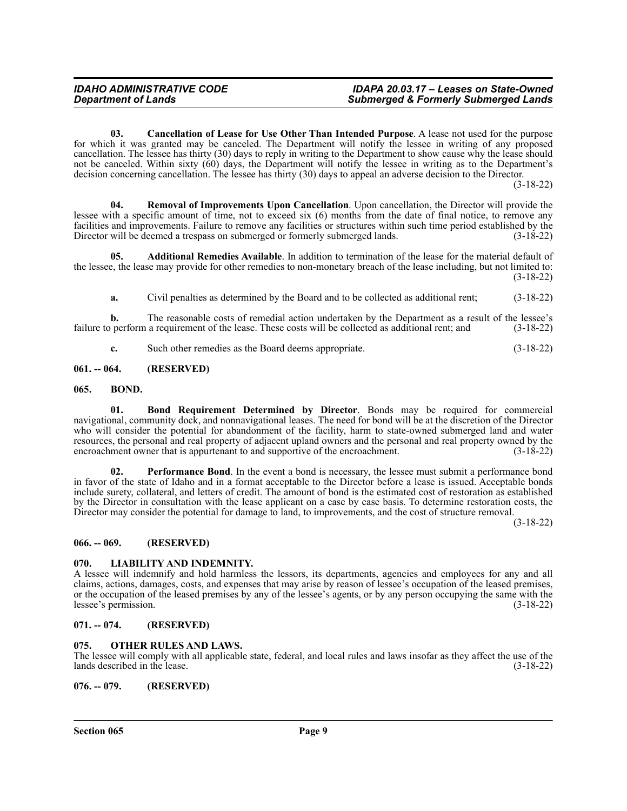**03. Cancellation of Lease for Use Other Than Intended Purpose**. A lease not used for the purpose for which it was granted may be canceled. The Department will notify the lessee in writing of any proposed cancellation. The lessee has thirty (30) days to reply in writing to the Department to show cause why the lease should not be canceled. Within sixty (60) days, the Department will notify the lessee in writing as to the Department's decision concerning cancellation. The lessee has thirty (30) days to appeal an adverse decision to the Director.

(3-18-22)

**04. Removal of Improvements Upon Cancellation**. Upon cancellation, the Director will provide the lessee with a specific amount of time, not to exceed six (6) months from the date of final notice, to remove any facilities and improvements. Failure to remove any facilities or structures within such time period established by the Director will be deemed a trespass on submerged or formerly submerged lands. (3-18-22)

**05. Additional Remedies Available**. In addition to termination of the lease for the material default of the lessee, the lease may provide for other remedies to non-monetary breach of the lease including, but not limited to: (3-18-22)

**a.** Civil penalties as determined by the Board and to be collected as additional rent; (3-18-22)

**b.** The reasonable costs of remedial action undertaken by the Department as a result of the lessee's failure to perform a requirement of the lease. These costs will be collected as additional rent; and (3-18-22)

**c.** Such other remedies as the Board deems appropriate. (3-18-22)

# <span id="page-8-0"></span>**061. -- 064. (RESERVED)**

# <span id="page-8-1"></span>**065. BOND.**

**01. Bond Requirement Determined by Director**. Bonds may be required for commercial navigational, community dock, and nonnavigational leases. The need for bond will be at the discretion of the Director who will consider the potential for abandonment of the facility, harm to state-owned submerged land and water resources, the personal and real property of adjacent upland owners and the personal and real property owned by the encroachment owner that is appurtenant to and supportive of the encroachment.  $(3-18-22)$ 

**02.** Performance Bond. In the event a bond is necessary, the lessee must submit a performance bond in favor of the state of Idaho and in a format acceptable to the Director before a lease is issued. Acceptable bonds include surety, collateral, and letters of credit. The amount of bond is the estimated cost of restoration as established by the Director in consultation with the lease applicant on a case by case basis. To determine restoration costs, the Director may consider the potential for damage to land, to improvements, and the cost of structure removal.

(3-18-22)

# <span id="page-8-2"></span>**066. -- 069. (RESERVED)**

# <span id="page-8-3"></span>**070. LIABILITY AND INDEMNITY.**

A lessee will indemnify and hold harmless the lessors, its departments, agencies and employees for any and all claims, actions, damages, costs, and expenses that may arise by reason of lessee's occupation of the leased premises, or the occupation of the leased premises by any of the lessee's agents, or by any person occupying the same with the lessee's permission. (3-18-22)

# <span id="page-8-4"></span>**071. -- 074. (RESERVED)**

# <span id="page-8-5"></span>**075. OTHER RULES AND LAWS.**

The lessee will comply with all applicable state, federal, and local rules and laws insofar as they affect the use of the lands described in the lease. (3-18-22)

<span id="page-8-6"></span>**076. -- 079. (RESERVED)**